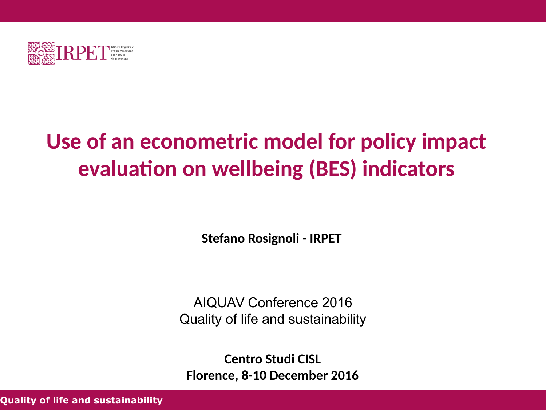

# **Use of an econometric model for policy impact evaluation on wellbeing (BES) indicators**

**Stefano Rosignoli - IRPET**

AIQUAV Conference 2016 Quality of life and sustainability

**Centro Studi CISL Florence, 8-10 December 2016**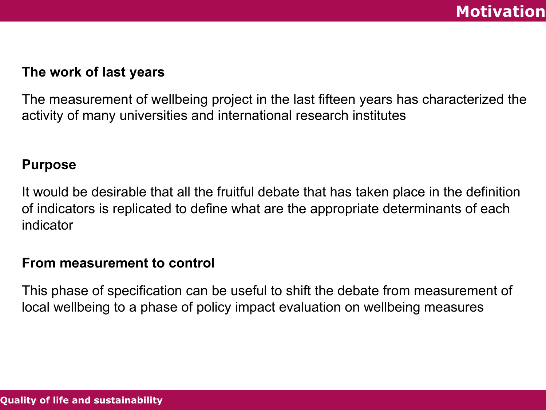### **The work of last years**

The measurement of wellbeing project in the last fifteen years has characterized the activity of many universities and international research institutes

#### **Purpose**

It would be desirable that all the fruitful debate that has taken place in the definition of indicators is replicated to define what are the appropriate determinants of each indicator

#### **From measurement to control**

This phase of specification can be useful to shift the debate from measurement of local wellbeing to a phase of policy impact evaluation on wellbeing measures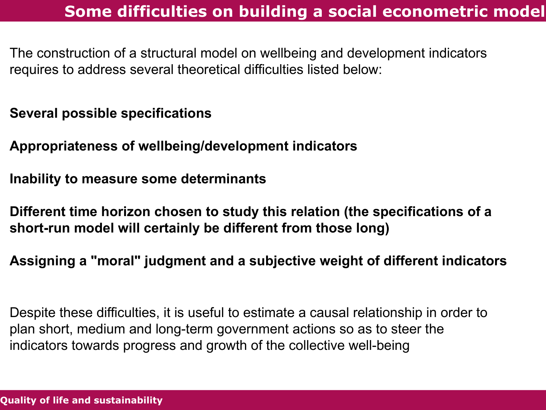# **Some difficulties on building a social econometric model**

The construction of a structural model on wellbeing and development indicators requires to address several theoretical difficulties listed below:

**Several possible specifications**

**Appropriateness of wellbeing/development indicators**

**Inability to measure some determinants**

**Different time horizon chosen to study this relation (the specifications of a short-run model will certainly be different from those long)**

**Assigning a "moral" judgment and a subjective weight of different indicators**

Despite these difficulties, it is useful to estimate a causal relationship in order to plan short, medium and long-term government actions so as to steer the indicators towards progress and growth of the collective well-being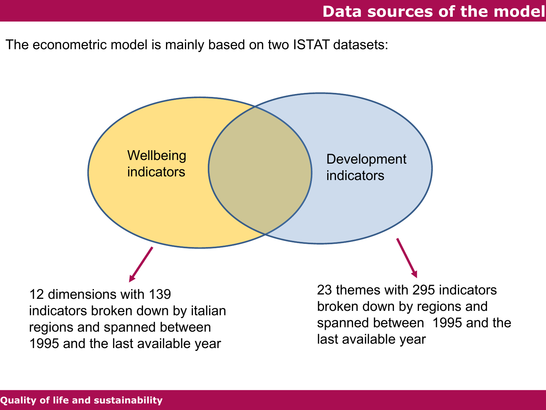### **Data sources of the model**

The econometric model is mainly based on two ISTAT datasets:

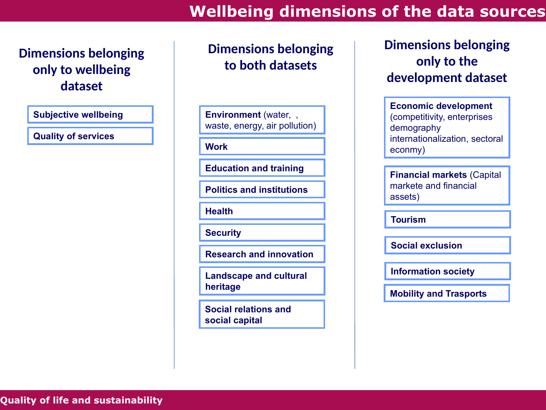## **Wellbeing dimensions of the data sources**

### **Dimensions belonging only to wellbeing dataset**

**Subjective wellbeing**

**Quality of services**

### **Dimensions belonging to both datasets**

**Environment** (water, , waste, energy, air pollution)

**Work**

**Education and training**

**Politics and institutions**

**Health**

**Security**

**Research and innovation**

**Landscape and cultural heritage**

**Social relations and social capital**

### **Dimensions belonging only to the development dataset**

**Economic development**  (competitivity, enterprises demography internationalization, sectoral econmy)

**Financial markets** (Capital markete and financial assets)

**Tourism**

**Social exclusion**

**Information society**

**Mobility and Trasports**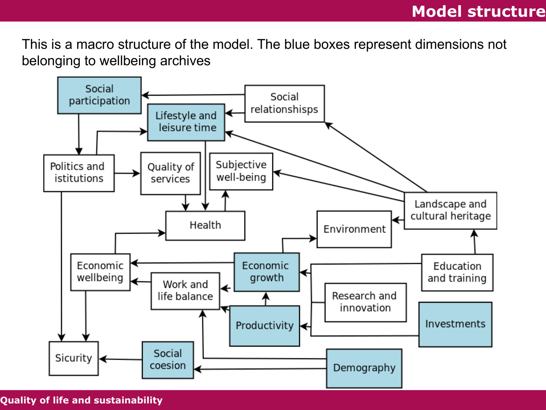This is a macro structure of the model. The blue boxes represent dimensions not belonging to wellbeing archives

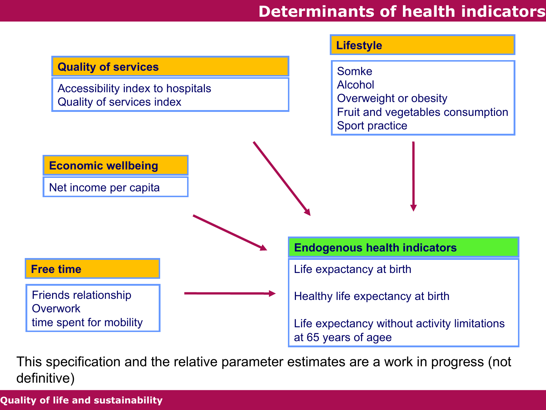### **Determinants of health indicators**



This specification and the relative parameter estimates are a work in progress (not definitive)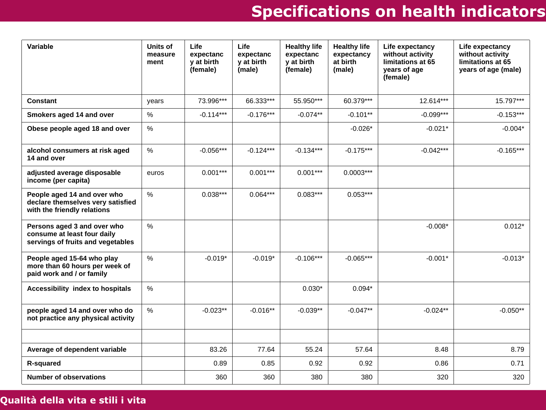# **Specifications on health indicators**

| Variable                                                                                        | Units of<br>measure<br>ment | Life<br>expectanc<br>y at birth<br>(female) | Life<br>expectanc<br>y at birth<br>(male) | <b>Healthy life</b><br>expectanc<br>y at birth<br>(female) | <b>Healthy life</b><br>expectancy<br>at birth<br>(male) | Life expectancy<br>without activity<br>limitations at 65<br>years of age<br>(female) | Life expectancy<br>without activity<br>limitations at 65<br>years of age (male) |
|-------------------------------------------------------------------------------------------------|-----------------------------|---------------------------------------------|-------------------------------------------|------------------------------------------------------------|---------------------------------------------------------|--------------------------------------------------------------------------------------|---------------------------------------------------------------------------------|
| <b>Constant</b>                                                                                 | years                       | 73.996***                                   | 66.333***                                 | 55.950***                                                  | 60.379***                                               | 12.614***                                                                            | 15.797***                                                                       |
| Smokers aged 14 and over                                                                        | %                           | $-0.114***$                                 | $-0.176***$                               | $-0.074**$                                                 | $-0.101**$                                              | $-0.099***$                                                                          | $-0.153***$                                                                     |
| Obese people aged 18 and over                                                                   | $\%$                        |                                             |                                           |                                                            | $-0.026*$                                               | $-0.021*$                                                                            | $-0.004*$                                                                       |
| alcohol consumers at risk aged<br>14 and over                                                   | $\%$                        | $-0.056***$                                 | $-0.124***$                               | $-0.134***$                                                | $-0.175***$                                             | $-0.042***$                                                                          | $-0.165***$                                                                     |
| adjusted average disposable<br>income (per capita)                                              | euros                       | $0.001***$                                  | $0.001***$                                | $0.001***$                                                 | $0.0003***$                                             |                                                                                      |                                                                                 |
| People aged 14 and over who<br>declare themselves very satisfied<br>with the friendly relations | $\%$                        | $0.038***$                                  | $0.064***$                                | $0.083***$                                                 | $0.053***$                                              |                                                                                      |                                                                                 |
| Persons aged 3 and over who<br>consume at least four daily<br>servings of fruits and vegetables | %                           |                                             |                                           |                                                            |                                                         | $-0.008*$                                                                            | $0.012*$                                                                        |
| People aged 15-64 who play<br>more than 60 hours per week of<br>paid work and / or family       | $\%$                        | $-0.019*$                                   | $-0.019*$                                 | $-0.106***$                                                | $-0.065***$                                             | $-0.001*$                                                                            | $-0.013*$                                                                       |
| Accessibility index to hospitals                                                                | $\%$                        |                                             |                                           | $0.030*$                                                   | $0.094*$                                                |                                                                                      |                                                                                 |
| people aged 14 and over who do<br>not practice any physical activity                            | $\%$                        | $-0.023**$                                  | $-0.016**$                                | $-0.039**$                                                 | $-0.047**$                                              | $-0.024**$                                                                           | $-0.050**$                                                                      |
|                                                                                                 |                             |                                             |                                           |                                                            |                                                         |                                                                                      |                                                                                 |
| Average of dependent variable                                                                   |                             | 83.26                                       | 77.64                                     | 55.24                                                      | 57.64                                                   | 8.48                                                                                 | 8.79                                                                            |
| R-squared                                                                                       |                             | 0.89                                        | 0.85                                      | 0.92                                                       | 0.92                                                    | 0.86                                                                                 | 0.71                                                                            |
| <b>Number of observations</b>                                                                   |                             | 360                                         | 360                                       | 380                                                        | 380                                                     | 320                                                                                  | 320                                                                             |

#### **Qualità della vita e stili i vita**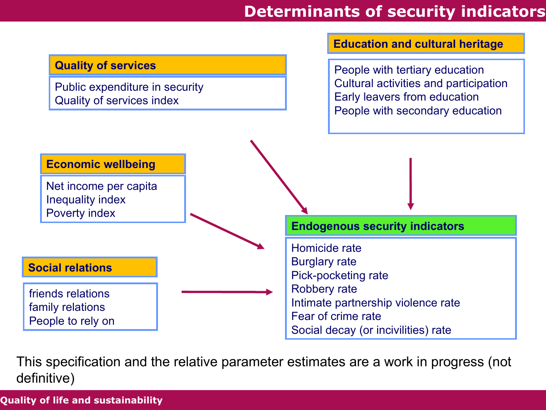# **Determinants of security indicators**



This specification and the relative parameter estimates are a work in progress (not definitive)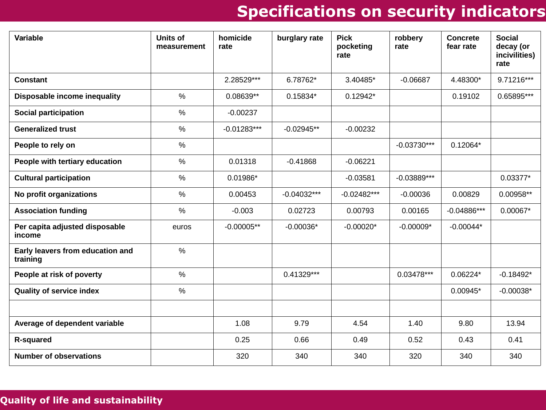# **Specifications on security indicators**

| Variable                                     | <b>Units of</b><br>measurement | homicide<br>rate | burglary rate | <b>Pick</b><br>pocketing<br>rate | robbery<br>rate | <b>Concrete</b><br>fear rate | <b>Social</b><br>decay (or<br>incivilities)<br>rate |
|----------------------------------------------|--------------------------------|------------------|---------------|----------------------------------|-----------------|------------------------------|-----------------------------------------------------|
| <b>Constant</b>                              |                                | 2.28529***       | 6.78762*      | 3.40485*                         | $-0.06687$      | 4.48300*                     | $9.71216***$                                        |
| Disposable income inequality                 | $\%$                           | 0.08639**        | $0.15834*$    | $0.12942*$                       |                 | 0.19102                      | 0.65895***                                          |
| Social participation                         | $\%$                           | $-0.00237$       |               |                                  |                 |                              |                                                     |
| <b>Generalized trust</b>                     | $\%$                           | $-0.01283***$    | $-0.02945**$  | $-0.00232$                       |                 |                              |                                                     |
| People to rely on                            | $\%$                           |                  |               |                                  | $-0.03730***$   | $0.12064*$                   |                                                     |
| People with tertiary education               | $\%$                           | 0.01318          | $-0.41868$    | $-0.06221$                       |                 |                              |                                                     |
| <b>Cultural participation</b>                | $\%$                           | $0.01986*$       |               | $-0.03581$                       | $-0.03889***$   |                              | $0.03377*$                                          |
| No profit organizations                      | $\%$                           | 0.00453          | $-0.04032***$ | $-0.02482***$                    | $-0.00036$      | 0.00829                      | 0.00958**                                           |
| <b>Association funding</b>                   | $\%$                           | $-0.003$         | 0.02723       | 0.00793                          | 0.00165         | $-0.04886***$                | $0.00067*$                                          |
| Per capita adjusted disposable<br>income     | euros                          | $-0.00005**$     | $-0.00036*$   | $-0.00020*$                      | $-0.00009*$     | $-0.00044*$                  |                                                     |
| Early leavers from education and<br>training | $\%$                           |                  |               |                                  |                 |                              |                                                     |
| People at risk of poverty                    | $\%$                           |                  | $0.41329***$  |                                  | $0.03478***$    | $0.06224*$                   | $-0.18492*$                                         |
| Quality of service index                     | $\%$                           |                  |               |                                  |                 | $0.00945*$                   | $-0.00038*$                                         |
|                                              |                                |                  |               |                                  |                 |                              |                                                     |
| Average of dependent variable                |                                | 1.08             | 9.79          | 4.54                             | 1.40            | 9.80                         | 13.94                                               |
| R-squared                                    |                                | 0.25             | 0.66          | 0.49                             | 0.52            | 0.43                         | 0.41                                                |
| <b>Number of observations</b>                |                                | 320              | 340           | 340                              | 320             | 340                          | 340                                                 |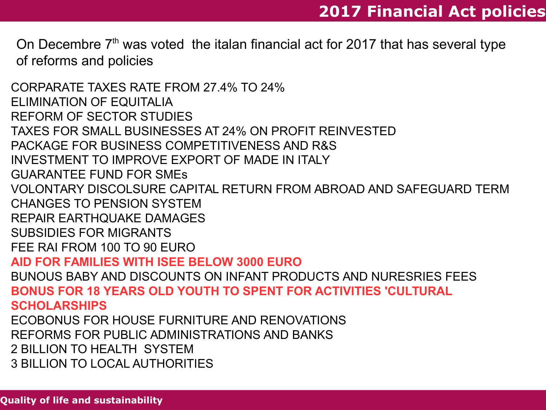On Decembre  $7<sup>th</sup>$  was voted the italan financial act for 2017 that has several type of reforms and policies

CORPARATE TAXES RATE FROM 27.4% TO 24% ELIMINATION OF EQUITALIA REFORM OF SECTOR STUDIES TAXES FOR SMALL BUSINESSES AT 24% ON PROFIT REINVESTED PACKAGE FOR BUSINESS COMPETITIVENESS AND R&S INVESTMENT TO IMPROVE EXPORT OF MADE IN ITALY GUARANTEE FUND FOR SMEs VOLONTARY DISCOLSURE CAPITAL RETURN FROM ABROAD AND SAFEGUARD TERM CHANGES TO PENSION SYSTEM REPAIR EARTHQUAKE DAMAGES SUBSIDIES FOR MIGRANTS FEE RAI FROM 100 TO 90 EURO **AID FOR FAMILIES WITH ISEE BELOW 3000 EURO**  BUNOUS BABY AND DISCOUNTS ON INFANT PRODUCTS AND NURESRIES FEES **BONUS FOR 18 YEARS OLD YOUTH TO SPENT FOR ACTIVITIES 'CULTURAL SCHOLARSHIPS** ECOBONUS FOR HOUSE FURNITURE AND RENOVATIONS REFORMS FOR PUBLIC ADMINISTRATIONS AND BANKS 2 BILLION TO HEALTH SYSTEM

3 BILLION TO LOCAL AUTHORITIES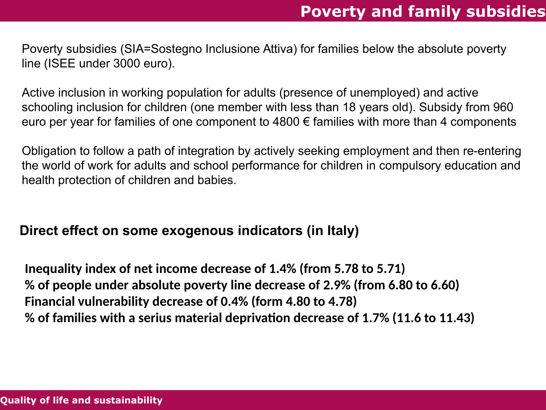Poverty subsidies (SIA=Sostegno Inclusione Attiva) for families below the absolute poverty line (ISEE under 3000 euro).

Active inclusion in working population for adults (presence of unemployed) and active schooling inclusion for children (one member with less than 18 years old). Subsidy from 960 euro per year for families of one component to  $4800 \text{ } \in$  families with more than 4 components

Obligation to follow a path of integration by actively seeking employment and then re-entering the world of work for adults and school performance for children in compulsory education and health protection of children and babies.

#### **Direct effect on some exogenous indicators (in Italy)**

**Inequality index of net income decrease of 1.4% (from 5.78 to 5.71) % of people under absolute poverty line decrease of 2.9% (from 6.80 to 6.60) Financial vulnerability decrease of 0.4% (form 4.80 to 4.78) % of families with a serius material deprivation decrease of 1.7% (11.6 to 11.43)**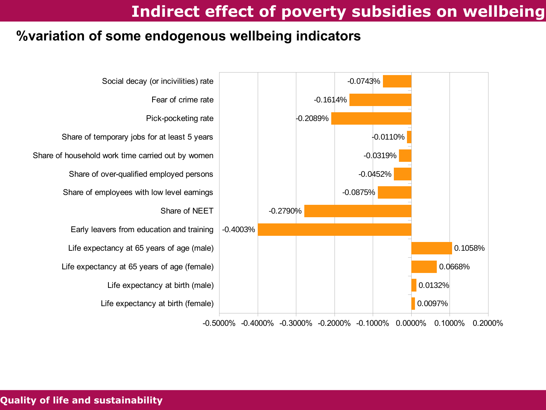## **Indirect effect of poverty subsidies on wellbeing**

#### **%variation of some endogenous wellbeing indicators**



-0.5000% -0.4000% -0.3000% -0.2000% -0.1000% 0.0000% 0.1000% 0.2000%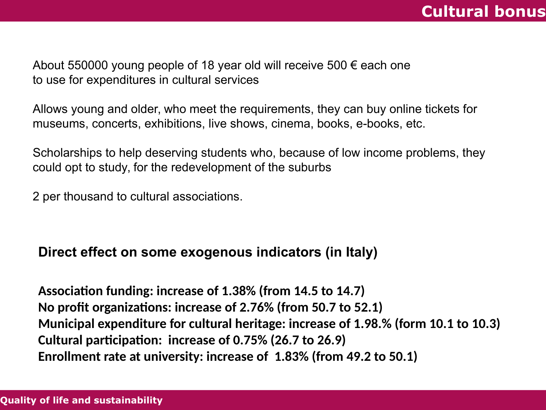## **Cultural bonus**

About 550000 young people of 18 year old will receive 500  $\epsilon$  each one to use for expenditures in cultural services

Allows young and older, who meet the requirements, they can buy online tickets for museums, concerts, exhibitions, live shows, cinema, books, e-books, etc.

Scholarships to help deserving students who, because of low income problems, they could opt to study, for the redevelopment of the suburbs

2 per thousand to cultural associations.

#### **Direct effect on some exogenous indicators (in Italy)**

**Association funding: increase of 1.38% (from 14.5 to 14.7) No profit organizations: increase of 2.76% (from 50.7 to 52.1) Municipal expenditure for cultural heritage: increase of 1.98.% (form 10.1 to 10.3) Cultural participation: increase of 0.75% (26.7 to 26.9) Enrollment rate at university: increase of 1.83% (from 49.2 to 50.1)**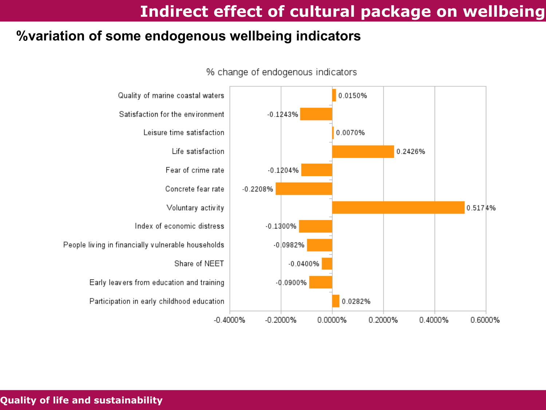# **Indirect effect of cultural package on wellbeing**

#### **%variation of some endogenous wellbeing indicators**



% change of endogenous indicators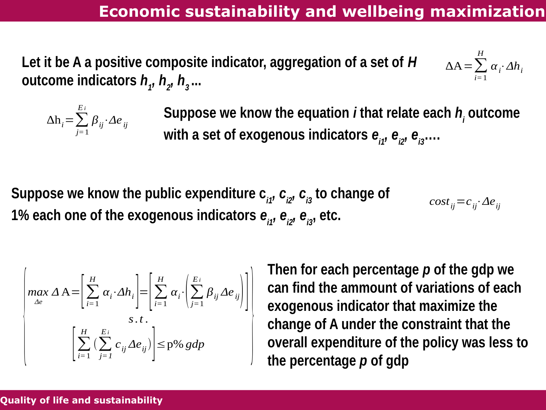**Let it be A a positive composite indicator, aggregation of a set of** *H* **outcome indicators** *h<sup>1</sup> , h2 , h3* **...**

$$
\Delta A = \sum_{i=1}^{H} \alpha_i \cdot \Delta h_i
$$



**Suppose we know the equation** *i* **that relate each** *h<sup>i</sup>* **outcome**  with a set of exogenous indicators  $e_{ij}$ ,  $e_{ij}$ ,  $e_{ij}$ ,...

Suppose we know the public expenditure  $c_{i1}$ ,  $c_{i2}$ ,  $c_{i3}$  to change of 1% each one of the exogenous indicators  $e_{i1}$ ,  $e_{i2}$ ,  $e_{i3}$ , etc.  $cost_{ij} = c_{ij} \cdot \Delta e_{ij}$ 

$$
\begin{bmatrix}\n\max_{\Delta e} \Delta A = \left[ \sum_{i=1}^{H} \alpha_i \cdot \Delta h_i \right] = \left[ \sum_{i=1}^{H} \alpha_i \cdot \left( \sum_{j=1}^{E_i} \beta_{ij} \Delta e_{ij} \right) \right] \\
\text{s.t.} \\
\left[ \sum_{i=1}^{H} \left( \sum_{j=1}^{E_i} c_{ij} \Delta e_{ij} \right) \right] \leq p\% gdp\n\end{bmatrix}
$$

**Then for each percentage** *p* **of the gdp we can find the ammount of variations of each exogenous indicator that maximize the change of A under the constraint that the**   $\left[\begin{array}{c} \sum_{i=1}^{n} \left( \sum_{j=1}^{n} c_{ij} \Delta e_{ij} \right) \end{array}\right] \leq p\%$  *gdp* **b coverall expenditure of the policy was less to <b>the percentage** *p* of gdp